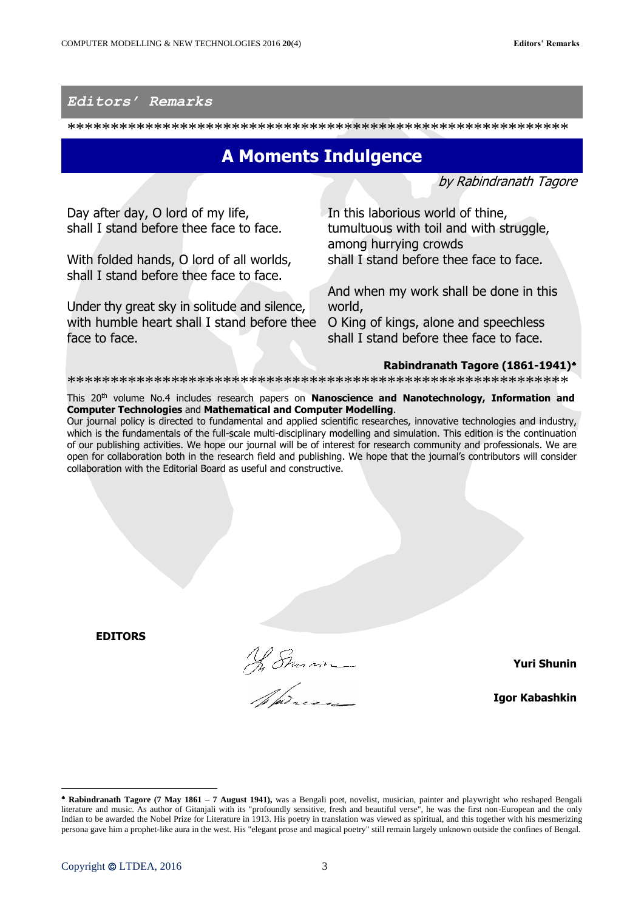## Editors' Remarks

## **A Moments Indulgence**

by Rabindranath Tagore

Day after day, O lord of my life, shall I stand before thee face to face.

With folded hands, O lord of all worlds, shall I stand before thee face to face.

Under thy great sky in solitude and silence, with humble heart shall I stand before thee O King of kings, alone and speechless face to face.

In this laborious world of thine, tumultuous with toil and with struggle, among hurrying crowds shall I stand before thee face to face.

And when my work shall be done in this world, shall I stand before thee face to face.

## Rabindranath Tagore (1861-1941)\*

This 20<sup>th</sup> volume No.4 includes research papers on Nanoscience and Nanotechnology, Information and **Computer Technologies and Mathematical and Computer Modelling.** 

Our journal policy is directed to fundamental and applied scientific researches, innovative technologies and industry, which is the fundamentals of the full-scale multi-disciplinary modelling and simulation. This edition is the continuation of our publishing activities. We hope our journal will be of interest for research community and professionals. We are open for collaboration both in the research field and publishing. We hope that the journal's contributors will consider collaboration with the Editorial Board as useful and constructive.

**EDITORS** 

No Sman

**Yuri Shunin** 

**Igor Kabashkin** 

<sup>\*</sup> Rabindranath Tagore (7 May 1861 - 7 August 1941), was a Bengali poet, novelist, musician, painter and playwright who reshaped Bengali literature and music. As author of Gitanjali with its "profoundly sensitive, fresh and beautiful verse", he was the first non-European and the only Indian to be awarded the Nobel Prize for Literature in 1913. His poetry in translation was viewed as spiritual, and this together with his mesmerizing persona gave him a prophet-like aura in the west. His "elegant prose and magical poetry" still remain largely unknown outside the confines of Bengal.